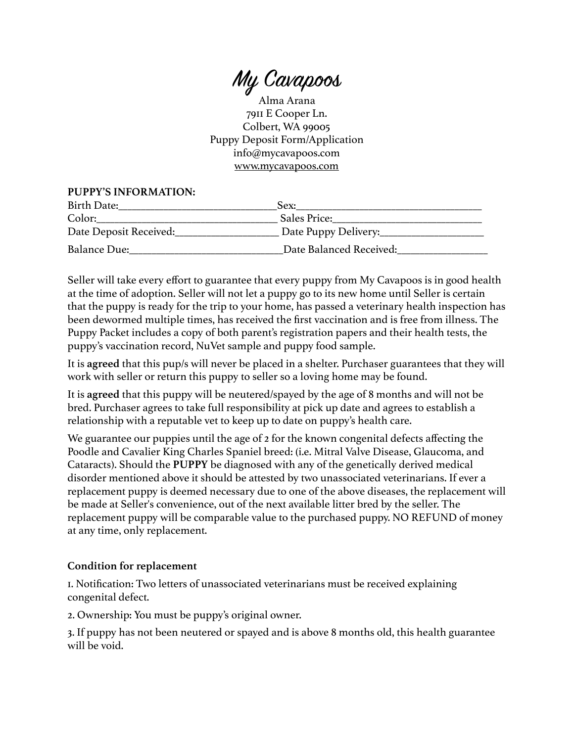My Cavapos

Alma Arana 7911 E Cooper Ln. Colbert, WA 99005 Puppy Deposit Form/Application info@mycavapoos.com [www.mycavapoos.com](http://www.mycavapoos.com) 

## **PUPPY'S INFORMATION:**

| Birth Date:            | Sex:                    |
|------------------------|-------------------------|
| Color:                 | Sales Price:            |
| Date Deposit Received: | Date Puppy Delivery:    |
| <b>Balance Due:</b>    | Date Balanced Received: |

Seller will take every effort to guarantee that every puppy from My Cavapoos is in good health at the time of adoption. Seller will not let a puppy go to its new home until Seller is certain that the puppy is ready for the trip to your home, has passed a veterinary health inspection has been dewormed multiple times, has received the first vaccination and is free from illness. The Puppy Packet includes a copy of both parent's registration papers and their health tests, the puppy's vaccination record, NuVet sample and puppy food sample.

It is **agreed** that this pup/s will never be placed in a shelter. Purchaser guarantees that they will work with seller or return this puppy to seller so a loving home may be found.

It is **agreed** that this puppy will be neutered/spayed by the age of 8 months and will not be bred. Purchaser agrees to take full responsibility at pick up date and agrees to establish a relationship with a reputable vet to keep up to date on puppy's health care.

We guarantee our puppies until the age of 2 for the known congenital defects affecting the Poodle and Cavalier King Charles Spaniel breed: (i.e. Mitral Valve Disease, Glaucoma, and Cataracts). Should the **PUPPY** be diagnosed with any of the genetically derived medical disorder mentioned above it should be attested by two unassociated veterinarians. If ever a replacement puppy is deemed necessary due to one of the above diseases, the replacement will be made at Seller's convenience, out of the next available litter bred by the seller. The replacement puppy will be comparable value to the purchased puppy. NO REFUND of money at any time, only replacement.

## **Condition for replacement**

1. Notification: Two letters of unassociated veterinarians must be received explaining congenital defect.

2. Ownership: You must be puppy's original owner.

3. If puppy has not been neutered or spayed and is above 8 months old, this health guarantee will be void.